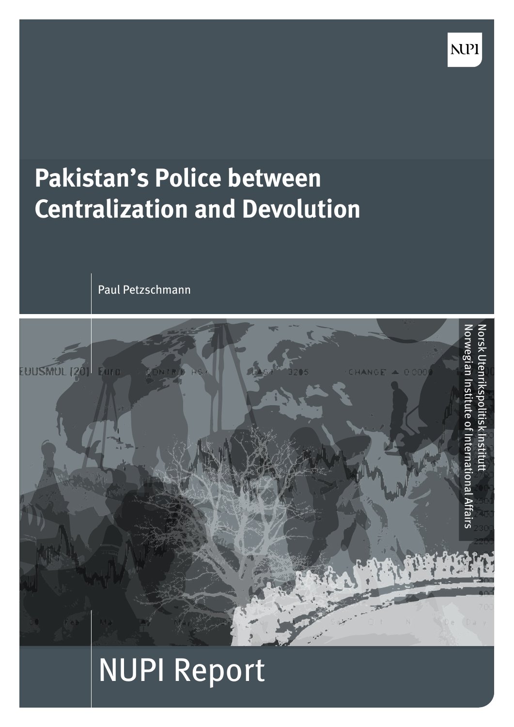

**NPI** 

Paul Petzschmann



# NUPI Report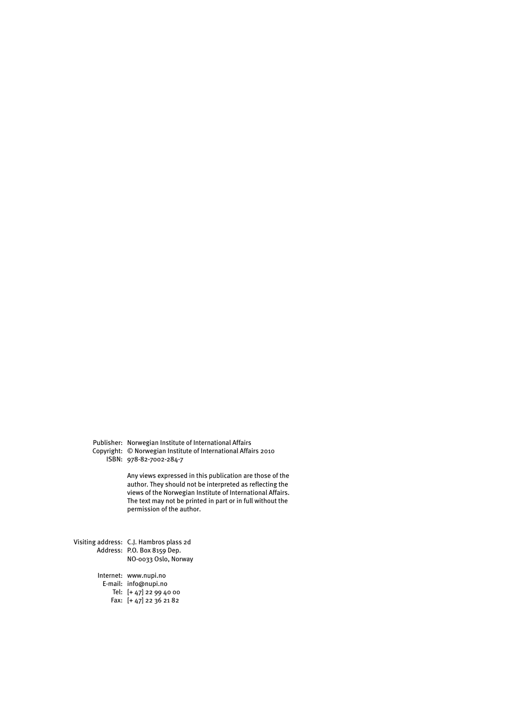Publisher: Norwegian Institute of International Affairs Copyright: © Norwegian Institute of International Affairs 2010 ISBN: 978-82-7002-284-7

> Any views expressed in this publication are those of the author. They should not be interpreted as reflecting the views of the Norwegian Institute of International Affairs. The text may not be printed in part or in full without the permission of the author.

Visiting address: C.J. Hambros plass 2d Address: P.O. Box 8159 Dep. NO-0033 Oslo, Norway

Internet: www.nupi.no

E-mail: info@nupi.no Tel: [+ 47] 22 99 40 00

Fax: [+ 47] 22 36 21 82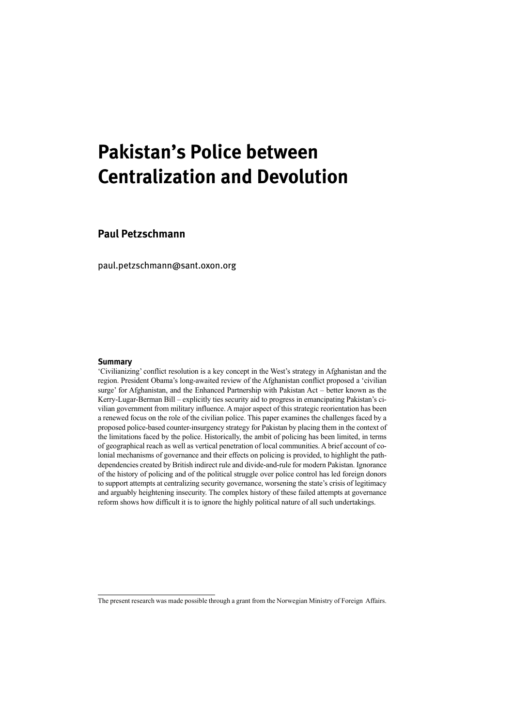# **Pakistan's Police between Centralization and Devolution**

**Paul Petzschmann**

paul.petzschmann@sant.oxon.org

#### **Summary**

'Civilianizing' conflict resolution is a key concept in the West's strategy in Afghanistan and the region. President Obama's long-awaited review of the Afghanistan conflict proposed a 'civilian surge' for Afghanistan, and the Enhanced Partnership with Pakistan Act – better known as the Kerry-Lugar-Berman Bill – explicitly ties security aid to progress in emancipating Pakistan's civilian government from military influence. A major aspect of this strategic reorientation has been a renewed focus on the role of the civilian police. This paper examines the challenges faced by a proposed police-based counter-insurgency strategy for Pakistan by placing them in the context of the limitations faced by the police. Historically, the ambit of policing has been limited, in terms of geographical reach as well as vertical penetration of local communities. A brief account of colonial mechanisms of governance and their effects on policing is provided, to highlight the pathdependencies created by British indirect rule and divide-and-rule for modern Pakistan. Ignorance of the history of policing and of the political struggle over police control has led foreign donors to support attempts at centralizing security governance, worsening the state's crisis of legitimacy and arguably heightening insecurity. The complex history of these failed attempts at governance reform shows how difficult it is to ignore the highly political nature of all such undertakings.

The present research was made possible through a grant from the Norwegian Ministry of Foreign Affairs.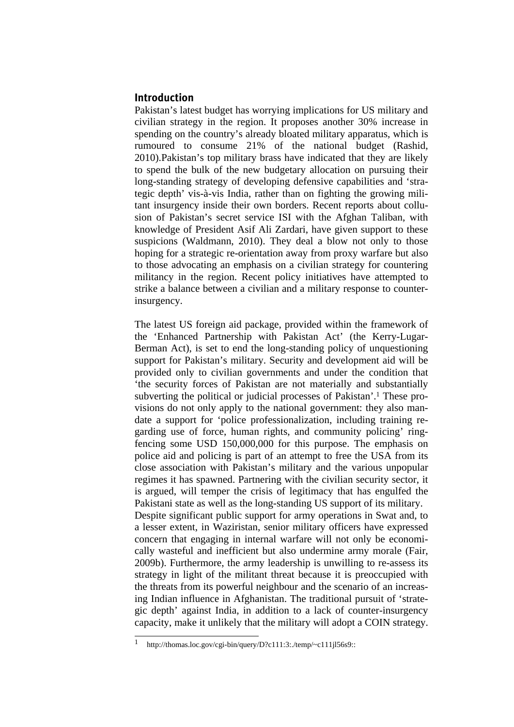# **Introduction**

Pakistan's latest budget has worrying implications for US military and civilian strategy in the region. It proposes another 30% increase in spending on the country's already bloated military apparatus, which is rumoured to consume 21% of the national budget (Rashid, 2010).Pakistan's top military brass have indicated that they are likely to spend the bulk of the new budgetary allocation on pursuing their long-standing strategy of developing defensive capabilities and 'strategic depth' vis-à-vis India, rather than on fighting the growing militant insurgency inside their own borders. Recent reports about collusion of Pakistan's secret service ISI with the Afghan Taliban, with knowledge of President Asif Ali Zardari, have given support to these suspicions (Waldmann, 2010). They deal a blow not only to those hoping for a strategic re-orientation away from proxy warfare but also to those advocating an emphasis on a civilian strategy for countering militancy in the region. Recent policy initiatives have attempted to strike a balance between a civilian and a military response to counterinsurgency.

The latest US foreign aid package, provided within the framework of the 'Enhanced Partnership with Pakistan Act' (the Kerry-Lugar-Berman Act), is set to end the long-standing policy of unquestioning support for Pakistan's military. Security and development aid will be provided only to civilian governments and under the condition that 'the security forces of Pakistan are not materially and substantially subverting the political or judicial processes of Pakistan'.1 These provisions do not only apply to the national government: they also mandate a support for 'police professionalization, including training regarding use of force, human rights, and community policing' ringfencing some USD 150,000,000 for this purpose. The emphasis on police aid and policing is part of an attempt to free the USA from its close association with Pakistan's military and the various unpopular regimes it has spawned. Partnering with the civilian security sector, it is argued, will temper the crisis of legitimacy that has engulfed the Pakistani state as well as the long-standing US support of its military. Despite significant public support for army operations in Swat and, to a lesser extent, in Waziristan, senior military officers have expressed concern that engaging in internal warfare will not only be economically wasteful and inefficient but also undermine army morale (Fair, 2009b). Furthermore, the army leadership is unwilling to re-assess its strategy in light of the militant threat because it is preoccupied with the threats from its powerful neighbour and the scenario of an increasing Indian influence in Afghanistan. The traditional pursuit of 'strategic depth' against India, in addition to a lack of counter-insurgency capacity, make it unlikely that the military will adopt a COIN strategy.

 $\mathbf{1}$ http://thomas.loc.gov/cgi-bin/query/D?c111:3:./temp/~c111jl56s9::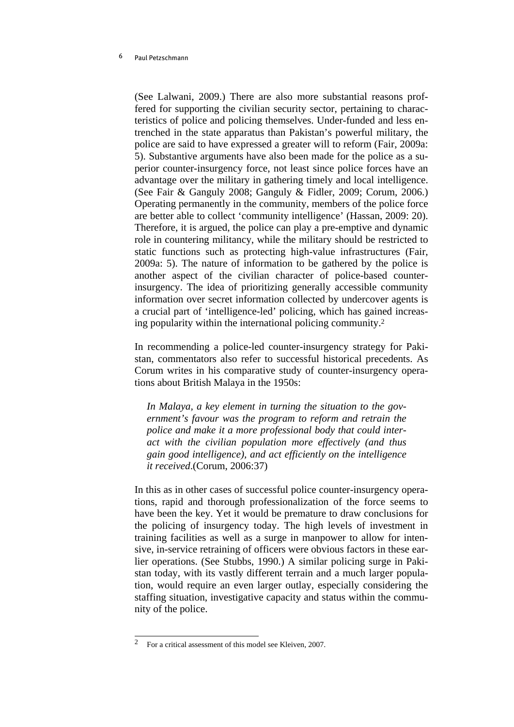(See Lalwani, 2009.) There are also more substantial reasons proffered for supporting the civilian security sector, pertaining to characteristics of police and policing themselves. Under-funded and less entrenched in the state apparatus than Pakistan's powerful military, the police are said to have expressed a greater will to reform (Fair, 2009a: 5). Substantive arguments have also been made for the police as a superior counter-insurgency force, not least since police forces have an advantage over the military in gathering timely and local intelligence. (See Fair & Ganguly 2008; Ganguly & Fidler, 2009; Corum, 2006.) Operating permanently in the community, members of the police force are better able to collect 'community intelligence' (Hassan, 2009: 20). Therefore, it is argued, the police can play a pre-emptive and dynamic role in countering militancy, while the military should be restricted to static functions such as protecting high-value infrastructures (Fair, 2009a: 5). The nature of information to be gathered by the police is another aspect of the civilian character of police-based counterinsurgency. The idea of prioritizing generally accessible community information over secret information collected by undercover agents is a crucial part of 'intelligence-led' policing, which has gained increasing popularity within the international policing community.2

In recommending a police-led counter-insurgency strategy for Pakistan, commentators also refer to successful historical precedents. As Corum writes in his comparative study of counter-insurgency operations about British Malaya in the 1950s:

*In Malaya, a key element in turning the situation to the government's favour was the program to reform and retrain the police and make it a more professional body that could interact with the civilian population more effectively (and thus gain good intelligence), and act efficiently on the intelligence it received*.(Corum, 2006:37)

In this as in other cases of successful police counter-insurgency operations, rapid and thorough professionalization of the force seems to have been the key. Yet it would be premature to draw conclusions for the policing of insurgency today. The high levels of investment in training facilities as well as a surge in manpower to allow for intensive, in-service retraining of officers were obvious factors in these earlier operations. (See Stubbs, 1990.) A similar policing surge in Pakistan today, with its vastly different terrain and a much larger population, would require an even larger outlay, especially considering the staffing situation, investigative capacity and status within the community of the police.

 $\overline{2}$ 2 For a critical assessment of this model see Kleiven, 2007.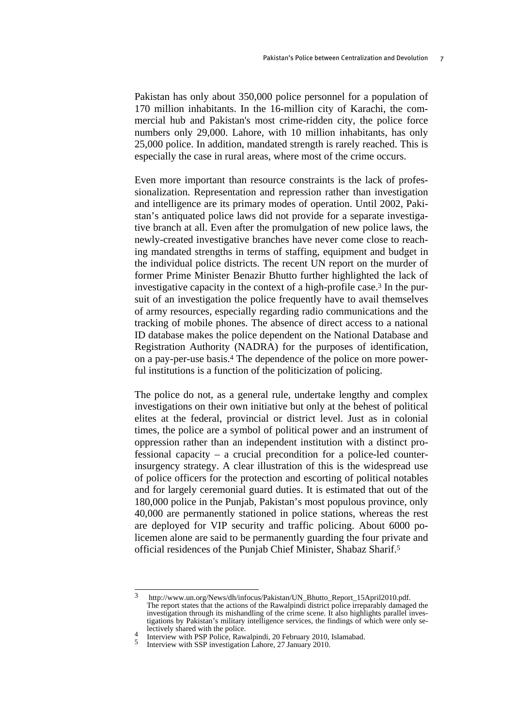Pakistan has only about 350,000 police personnel for a population of 170 million inhabitants. In the 16-million city of Karachi, the commercial hub and Pakistan's most crime-ridden city, the police force numbers only 29,000. Lahore, with 10 million inhabitants, has only 25,000 police. In addition, mandated strength is rarely reached. This is especially the case in rural areas, where most of the crime occurs.

Even more important than resource constraints is the lack of professionalization. Representation and repression rather than investigation and intelligence are its primary modes of operation. Until 2002, Pakistan's antiquated police laws did not provide for a separate investigative branch at all. Even after the promulgation of new police laws, the newly-created investigative branches have never come close to reaching mandated strengths in terms of staffing, equipment and budget in the individual police districts. The recent UN report on the murder of former Prime Minister Benazir Bhutto further highlighted the lack of investigative capacity in the context of a high-profile case.3 In the pursuit of an investigation the police frequently have to avail themselves of army resources, especially regarding radio communications and the tracking of mobile phones. The absence of direct access to a national ID database makes the police dependent on the National Database and Registration Authority (NADRA) for the purposes of identification, on a pay-per-use basis.4 The dependence of the police on more powerful institutions is a function of the politicization of policing.

The police do not, as a general rule, undertake lengthy and complex investigations on their own initiative but only at the behest of political elites at the federal, provincial or district level. Just as in colonial times, the police are a symbol of political power and an instrument of oppression rather than an independent institution with a distinct professional capacity – a crucial precondition for a police-led counterinsurgency strategy. A clear illustration of this is the widespread use of police officers for the protection and escorting of political notables and for largely ceremonial guard duties. It is estimated that out of the 180,000 police in the Punjab, Pakistan's most populous province, only 40,000 are permanently stationed in police stations, whereas the rest are deployed for VIP security and traffic policing. About 6000 policemen alone are said to be permanently guarding the four private and official residences of the Punjab Chief Minister, Shabaz Sharif.5

 $\mathbf{3}$ http://www.un.org/News/dh/infocus/Pakistan/UN\_Bhutto\_Report\_15April2010.pdf. The report states that the actions of the Rawalpindi district police irreparably damaged the investigation through its mishandling of the crime scene. It also highlights parallel investigations by Pakistan's military intelligence services, the findings of which were only se-

<sup>&</sup>lt;sup>4</sup> Interview with PSP Police, Rawalpindi, 20 February 2010, Islamabad. 5 Interview with SSP investigation Lahore, 27 January 2010.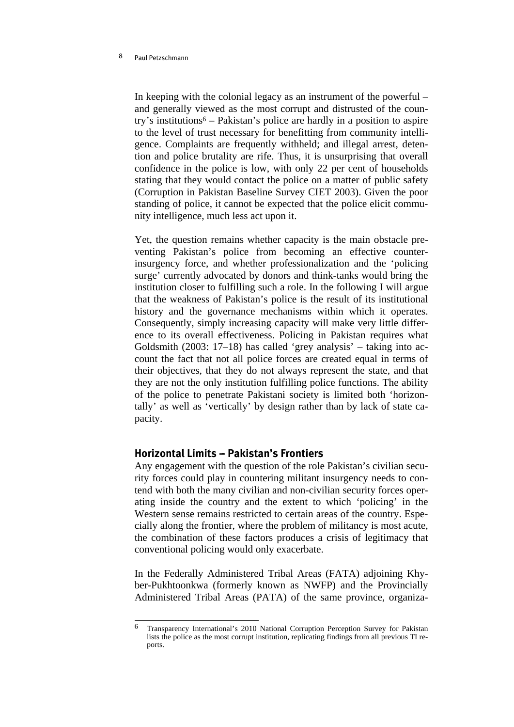In keeping with the colonial legacy as an instrument of the powerful – and generally viewed as the most corrupt and distrusted of the country's institutions<sup> $6$ </sup> – Pakistan's police are hardly in a position to aspire to the level of trust necessary for benefitting from community intelligence. Complaints are frequently withheld; and illegal arrest, detention and police brutality are rife. Thus, it is unsurprising that overall confidence in the police is low, with only 22 per cent of households stating that they would contact the police on a matter of public safety (Corruption in Pakistan Baseline Survey CIET 2003). Given the poor standing of police, it cannot be expected that the police elicit community intelligence, much less act upon it.

Yet, the question remains whether capacity is the main obstacle preventing Pakistan's police from becoming an effective counterinsurgency force, and whether professionalization and the 'policing surge' currently advocated by donors and think-tanks would bring the institution closer to fulfilling such a role. In the following I will argue that the weakness of Pakistan's police is the result of its institutional history and the governance mechanisms within which it operates. Consequently, simply increasing capacity will make very little difference to its overall effectiveness. Policing in Pakistan requires what Goldsmith (2003: 17–18) has called 'grey analysis' – taking into account the fact that not all police forces are created equal in terms of their objectives, that they do not always represent the state, and that they are not the only institution fulfilling police functions. The ability of the police to penetrate Pakistani society is limited both 'horizontally' as well as 'vertically' by design rather than by lack of state capacity.

# **Horizontal Limits -- Pakistan's Frontiers**

Any engagement with the question of the role Pakistan's civilian security forces could play in countering militant insurgency needs to contend with both the many civilian and non-civilian security forces operating inside the country and the extent to which 'policing' in the Western sense remains restricted to certain areas of the country. Especially along the frontier, where the problem of militancy is most acute, the combination of these factors produces a crisis of legitimacy that conventional policing would only exacerbate.

In the Federally Administered Tribal Areas (FATA) adjoining Khyber-Pukhtoonkwa (formerly known as NWFP) and the Provincially Administered Tribal Areas (PATA) of the same province, organiza-

<sup>6</sup> 6 Transparency International's 2010 National Corruption Perception Survey for Pakistan lists the police as the most corrupt institution, replicating findings from all previous TI reports.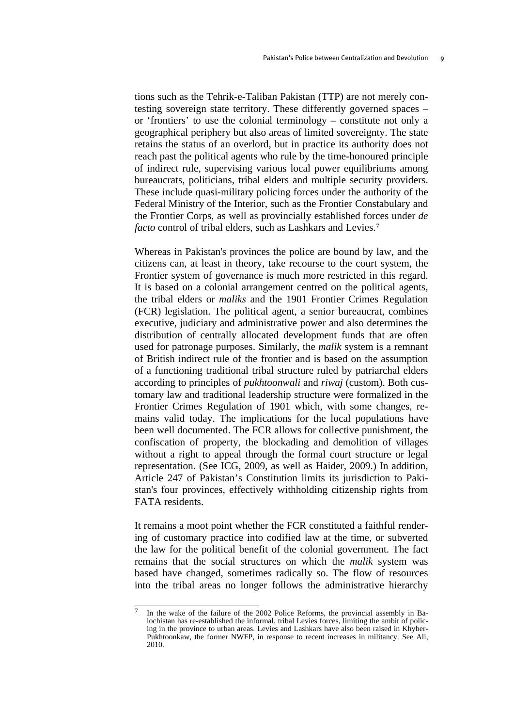tions such as the Tehrik-e-Taliban Pakistan (TTP) are not merely contesting sovereign state territory. These differently governed spaces – or 'frontiers' to use the colonial terminology – constitute not only a geographical periphery but also areas of limited sovereignty. The state retains the status of an overlord, but in practice its authority does not reach past the political agents who rule by the time-honoured principle of indirect rule, supervising various local power equilibriums among bureaucrats, politicians, tribal elders and multiple security providers. These include quasi-military policing forces under the authority of the Federal Ministry of the Interior, such as the Frontier Constabulary and the Frontier Corps, as well as provincially established forces under *de facto* control of tribal elders, such as Lashkars and Levies.<sup>7</sup>

Whereas in Pakistan's provinces the police are bound by law, and the citizens can, at least in theory, take recourse to the court system, the Frontier system of governance is much more restricted in this regard. It is based on a colonial arrangement centred on the political agents, the tribal elders or *maliks* and the 1901 Frontier Crimes Regulation (FCR) legislation. The political agent, a senior bureaucrat, combines executive, judiciary and administrative power and also determines the distribution of centrally allocated development funds that are often used for patronage purposes. Similarly, the *malik* system is a remnant of British indirect rule of the frontier and is based on the assumption of a functioning traditional tribal structure ruled by patriarchal elders according to principles of *pukhtoonwali* and *riwaj* (custom). Both customary law and traditional leadership structure were formalized in the Frontier Crimes Regulation of 1901 which, with some changes, remains valid today. The implications for the local populations have been well documented. The FCR allows for collective punishment, the confiscation of property, the blockading and demolition of villages without a right to appeal through the formal court structure or legal representation. (See ICG, 2009, as well as Haider, 2009.) In addition, Article 247 of Pakistan's Constitution limits its jurisdiction to Pakistan's four provinces, effectively withholding citizenship rights from FATA residents.

It remains a moot point whether the FCR constituted a faithful rendering of customary practice into codified law at the time, or subverted the law for the political benefit of the colonial government. The fact remains that the social structures on which the *malik* system was based have changed, sometimes radically so. The flow of resources into the tribal areas no longer follows the administrative hierarchy

 $\overline{7}$ In the wake of the failure of the 2002 Police Reforms, the provincial assembly in Balochistan has re-established the informal, tribal Levies forces, limiting the ambit of policing in the province to urban areas. Levies and Lashkars have also been raised in Khyber-Pukhtoonkaw, the former NWFP, in response to recent increases in militancy. See Ali, 2010.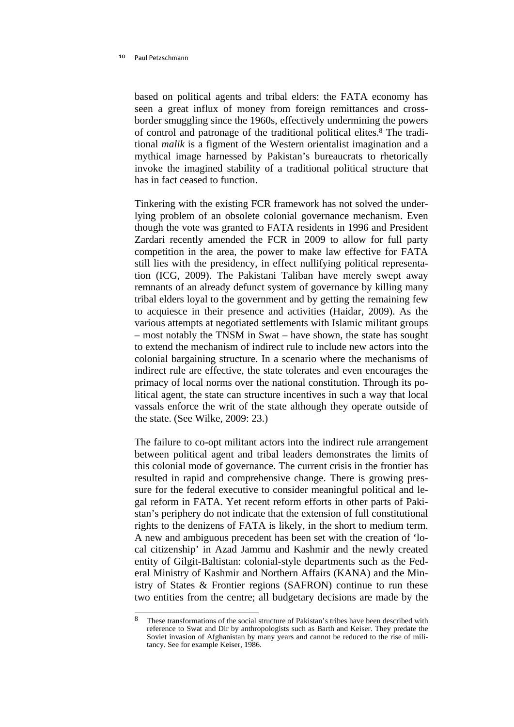based on political agents and tribal elders: the FATA economy has seen a great influx of money from foreign remittances and crossborder smuggling since the 1960s, effectively undermining the powers of control and patronage of the traditional political elites.8 The traditional *malik* is a figment of the Western orientalist imagination and a mythical image harnessed by Pakistan's bureaucrats to rhetorically invoke the imagined stability of a traditional political structure that has in fact ceased to function.

Tinkering with the existing FCR framework has not solved the underlying problem of an obsolete colonial governance mechanism. Even though the vote was granted to FATA residents in 1996 and President Zardari recently amended the FCR in 2009 to allow for full party competition in the area, the power to make law effective for FATA still lies with the presidency, in effect nullifying political representation (ICG, 2009). The Pakistani Taliban have merely swept away remnants of an already defunct system of governance by killing many tribal elders loyal to the government and by getting the remaining few to acquiesce in their presence and activities (Haidar, 2009). As the various attempts at negotiated settlements with Islamic militant groups – most notably the TNSM in Swat – have shown, the state has sought to extend the mechanism of indirect rule to include new actors into the colonial bargaining structure. In a scenario where the mechanisms of indirect rule are effective, the state tolerates and even encourages the primacy of local norms over the national constitution. Through its political agent, the state can structure incentives in such a way that local vassals enforce the writ of the state although they operate outside of the state. (See Wilke, 2009: 23.)

The failure to co-opt militant actors into the indirect rule arrangement between political agent and tribal leaders demonstrates the limits of this colonial mode of governance. The current crisis in the frontier has resulted in rapid and comprehensive change. There is growing pressure for the federal executive to consider meaningful political and legal reform in FATA. Yet recent reform efforts in other parts of Pakistan's periphery do not indicate that the extension of full constitutional rights to the denizens of FATA is likely, in the short to medium term. A new and ambiguous precedent has been set with the creation of 'local citizenship' in Azad Jammu and Kashmir and the newly created entity of Gilgit-Baltistan: colonial-style departments such as the Federal Ministry of Kashmir and Northern Affairs (KANA) and the Ministry of States & Frontier regions (SAFRON) continue to run these two entities from the centre; all budgetary decisions are made by the

 $\overline{8}$ 8 These transformations of the social structure of Pakistan's tribes have been described with reference to Swat and Dir by anthropologists such as Barth and Keiser. They predate the Soviet invasion of Afghanistan by many years and cannot be reduced to the rise of militancy. See for example Keiser, 1986.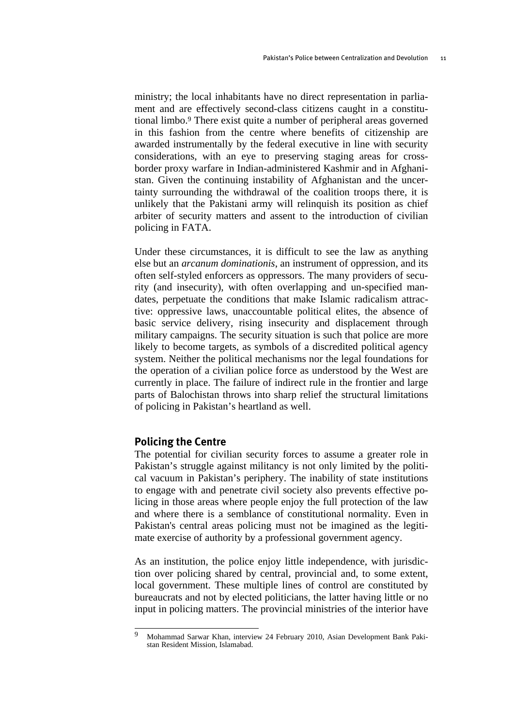ministry; the local inhabitants have no direct representation in parliament and are effectively second-class citizens caught in a constitutional limbo.9 There exist quite a number of peripheral areas governed in this fashion from the centre where benefits of citizenship are awarded instrumentally by the federal executive in line with security considerations, with an eye to preserving staging areas for crossborder proxy warfare in Indian-administered Kashmir and in Afghanistan. Given the continuing instability of Afghanistan and the uncertainty surrounding the withdrawal of the coalition troops there, it is unlikely that the Pakistani army will relinquish its position as chief arbiter of security matters and assent to the introduction of civilian policing in FATA.

Under these circumstances, it is difficult to see the law as anything else but an *arcanum dominationis*, an instrument of oppression, and its often self-styled enforcers as oppressors. The many providers of security (and insecurity), with often overlapping and un-specified mandates, perpetuate the conditions that make Islamic radicalism attractive: oppressive laws, unaccountable political elites, the absence of basic service delivery, rising insecurity and displacement through military campaigns. The security situation is such that police are more likely to become targets, as symbols of a discredited political agency system. Neither the political mechanisms nor the legal foundations for the operation of a civilian police force as understood by the West are currently in place. The failure of indirect rule in the frontier and large parts of Balochistan throws into sharp relief the structural limitations of policing in Pakistan's heartland as well.

### **Policing the Centre**

The potential for civilian security forces to assume a greater role in Pakistan's struggle against militancy is not only limited by the political vacuum in Pakistan's periphery. The inability of state institutions to engage with and penetrate civil society also prevents effective policing in those areas where people enjoy the full protection of the law and where there is a semblance of constitutional normality. Even in Pakistan's central areas policing must not be imagined as the legitimate exercise of authority by a professional government agency.

As an institution, the police enjoy little independence, with jurisdiction over policing shared by central, provincial and, to some extent, local government. These multiple lines of control are constituted by bureaucrats and not by elected politicians, the latter having little or no input in policing matters. The provincial ministries of the interior have

 $\overline{Q}$ 9 Mohammad Sarwar Khan, interview 24 February 2010, Asian Development Bank Pakistan Resident Mission, Islamabad.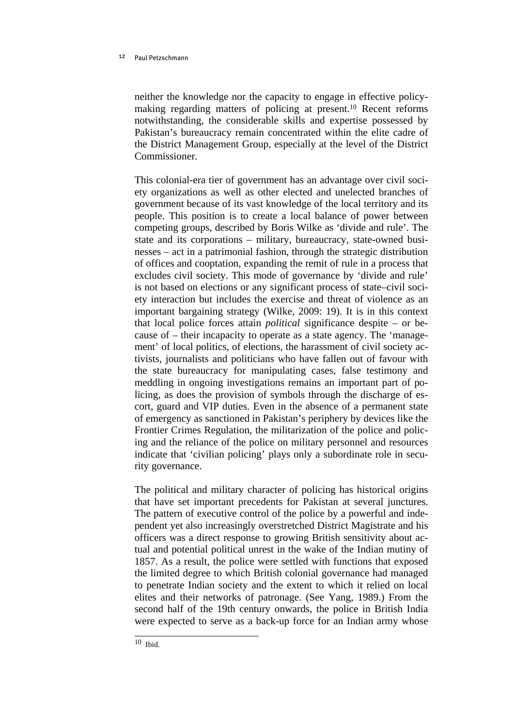neither the knowledge nor the capacity to engage in effective policymaking regarding matters of policing at present.10 Recent reforms notwithstanding, the considerable skills and expertise possessed by Pakistan's bureaucracy remain concentrated within the elite cadre of the District Management Group, especially at the level of the District Commissioner.

This colonial-era tier of government has an advantage over civil society organizations as well as other elected and unelected branches of government because of its vast knowledge of the local territory and its people. This position is to create a local balance of power between competing groups, described by Boris Wilke as 'divide and rule'. The state and its corporations – military, bureaucracy, state-owned businesses – act in a patrimonial fashion, through the strategic distribution of offices and cooptation, expanding the remit of rule in a process that excludes civil society. This mode of governance by 'divide and rule' is not based on elections or any significant process of state–civil society interaction but includes the exercise and threat of violence as an important bargaining strategy (Wilke, 2009: 19). It is in this context that local police forces attain *political* significance despite – or because of – their incapacity to operate as a state agency. The 'management' of local politics, of elections, the harassment of civil society activists, journalists and politicians who have fallen out of favour with the state bureaucracy for manipulating cases, false testimony and meddling in ongoing investigations remains an important part of policing, as does the provision of symbols through the discharge of escort, guard and VIP duties. Even in the absence of a permanent state of emergency as sanctioned in Pakistan's periphery by devices like the Frontier Crimes Regulation, the militarization of the police and policing and the reliance of the police on military personnel and resources indicate that 'civilian policing' plays only a subordinate role in security governance.

The political and military character of policing has historical origins that have set important precedents for Pakistan at several junctures. The pattern of executive control of the police by a powerful and independent yet also increasingly overstretched District Magistrate and his officers was a direct response to growing British sensitivity about actual and potential political unrest in the wake of the Indian mutiny of 1857. As a result, the police were settled with functions that exposed the limited degree to which British colonial governance had managed to penetrate Indian society and the extent to which it relied on local elites and their networks of patronage. (See Yang, 1989.) From the second half of the 19th century onwards, the police in British India were expected to serve as a back-up force for an Indian army whose

 10 Ibid.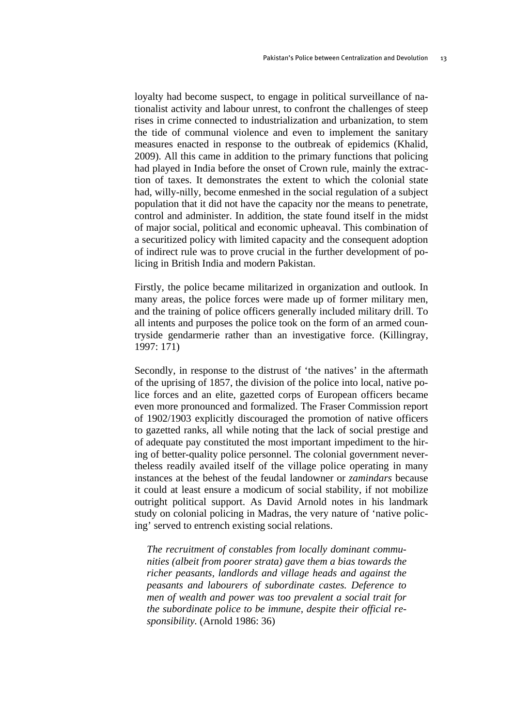loyalty had become suspect, to engage in political surveillance of nationalist activity and labour unrest, to confront the challenges of steep rises in crime connected to industrialization and urbanization, to stem the tide of communal violence and even to implement the sanitary measures enacted in response to the outbreak of epidemics (Khalid, 2009). All this came in addition to the primary functions that policing had played in India before the onset of Crown rule, mainly the extraction of taxes. It demonstrates the extent to which the colonial state had, willy-nilly, become enmeshed in the social regulation of a subject population that it did not have the capacity nor the means to penetrate, control and administer. In addition, the state found itself in the midst of major social, political and economic upheaval. This combination of a securitized policy with limited capacity and the consequent adoption of indirect rule was to prove crucial in the further development of policing in British India and modern Pakistan.

Firstly, the police became militarized in organization and outlook. In many areas, the police forces were made up of former military men, and the training of police officers generally included military drill. To all intents and purposes the police took on the form of an armed countryside gendarmerie rather than an investigative force. (Killingray, 1997: 171)

Secondly, in response to the distrust of 'the natives' in the aftermath of the uprising of 1857, the division of the police into local, native police forces and an elite, gazetted corps of European officers became even more pronounced and formalized. The Fraser Commission report of 1902/1903 explicitly discouraged the promotion of native officers to gazetted ranks, all while noting that the lack of social prestige and of adequate pay constituted the most important impediment to the hiring of better-quality police personnel. The colonial government nevertheless readily availed itself of the village police operating in many instances at the behest of the feudal landowner or *zamindars* because it could at least ensure a modicum of social stability, if not mobilize outright political support. As David Arnold notes in his landmark study on colonial policing in Madras, the very nature of 'native policing' served to entrench existing social relations.

*The recruitment of constables from locally dominant communities (albeit from poorer strata) gave them a bias towards the richer peasants, landlords and village heads and against the peasants and labourers of subordinate castes. Deference to men of wealth and power was too prevalent a social trait for the subordinate police to be immune, despite their official responsibility.* (Arnold 1986: 36)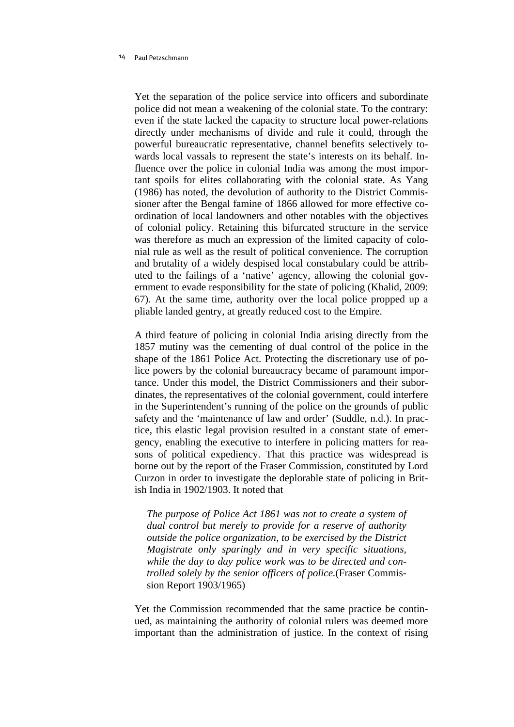Yet the separation of the police service into officers and subordinate police did not mean a weakening of the colonial state. To the contrary: even if the state lacked the capacity to structure local power-relations directly under mechanisms of divide and rule it could, through the powerful bureaucratic representative, channel benefits selectively towards local vassals to represent the state's interests on its behalf. Influence over the police in colonial India was among the most important spoils for elites collaborating with the colonial state. As Yang (1986) has noted, the devolution of authority to the District Commissioner after the Bengal famine of 1866 allowed for more effective coordination of local landowners and other notables with the objectives of colonial policy. Retaining this bifurcated structure in the service was therefore as much an expression of the limited capacity of colonial rule as well as the result of political convenience. The corruption and brutality of a widely despised local constabulary could be attributed to the failings of a 'native' agency, allowing the colonial government to evade responsibility for the state of policing (Khalid, 2009: 67). At the same time, authority over the local police propped up a pliable landed gentry, at greatly reduced cost to the Empire.

A third feature of policing in colonial India arising directly from the 1857 mutiny was the cementing of dual control of the police in the shape of the 1861 Police Act. Protecting the discretionary use of police powers by the colonial bureaucracy became of paramount importance. Under this model, the District Commissioners and their subordinates, the representatives of the colonial government, could interfere in the Superintendent's running of the police on the grounds of public safety and the 'maintenance of law and order' (Suddle, n.d.). In practice, this elastic legal provision resulted in a constant state of emergency, enabling the executive to interfere in policing matters for reasons of political expediency. That this practice was widespread is borne out by the report of the Fraser Commission, constituted by Lord Curzon in order to investigate the deplorable state of policing in British India in 1902/1903. It noted that

*The purpose of Police Act 1861 was not to create a system of dual control but merely to provide for a reserve of authority outside the police organization, to be exercised by the District Magistrate only sparingly and in very specific situations, while the day to day police work was to be directed and controlled solely by the senior officers of police.*(Fraser Commission Report 1903/1965)

Yet the Commission recommended that the same practice be continued, as maintaining the authority of colonial rulers was deemed more important than the administration of justice. In the context of rising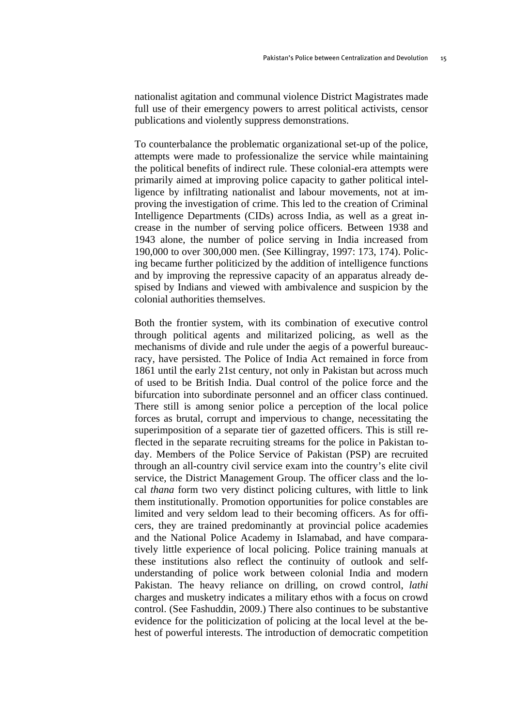nationalist agitation and communal violence District Magistrates made full use of their emergency powers to arrest political activists, censor publications and violently suppress demonstrations.

To counterbalance the problematic organizational set-up of the police, attempts were made to professionalize the service while maintaining the political benefits of indirect rule. These colonial-era attempts were primarily aimed at improving police capacity to gather political intelligence by infiltrating nationalist and labour movements, not at improving the investigation of crime. This led to the creation of Criminal Intelligence Departments (CIDs) across India, as well as a great increase in the number of serving police officers. Between 1938 and 1943 alone, the number of police serving in India increased from 190,000 to over 300,000 men. (See Killingray, 1997: 173, 174). Policing became further politicized by the addition of intelligence functions and by improving the repressive capacity of an apparatus already despised by Indians and viewed with ambivalence and suspicion by the colonial authorities themselves.

Both the frontier system, with its combination of executive control through political agents and militarized policing, as well as the mechanisms of divide and rule under the aegis of a powerful bureaucracy, have persisted. The Police of India Act remained in force from 1861 until the early 21st century, not only in Pakistan but across much of used to be British India. Dual control of the police force and the bifurcation into subordinate personnel and an officer class continued. There still is among senior police a perception of the local police forces as brutal, corrupt and impervious to change, necessitating the superimposition of a separate tier of gazetted officers. This is still reflected in the separate recruiting streams for the police in Pakistan today. Members of the Police Service of Pakistan (PSP) are recruited through an all-country civil service exam into the country's elite civil service, the District Management Group. The officer class and the local *thana* form two very distinct policing cultures, with little to link them institutionally. Promotion opportunities for police constables are limited and very seldom lead to their becoming officers. As for officers, they are trained predominantly at provincial police academies and the National Police Academy in Islamabad, and have comparatively little experience of local policing. Police training manuals at these institutions also reflect the continuity of outlook and selfunderstanding of police work between colonial India and modern Pakistan. The heavy reliance on drilling, on crowd control, *lathi* charges and musketry indicates a military ethos with a focus on crowd control. (See Fashuddin, 2009.) There also continues to be substantive evidence for the politicization of policing at the local level at the behest of powerful interests. The introduction of democratic competition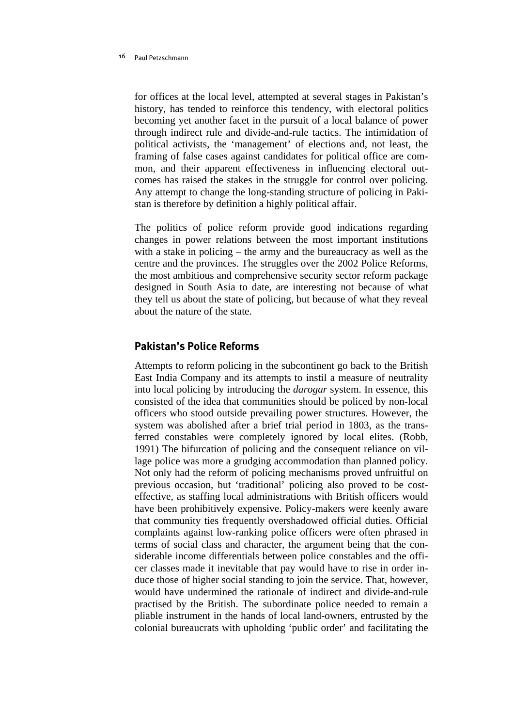for offices at the local level, attempted at several stages in Pakistan's history, has tended to reinforce this tendency, with electoral politics becoming yet another facet in the pursuit of a local balance of power through indirect rule and divide-and-rule tactics. The intimidation of political activists, the 'management' of elections and, not least, the framing of false cases against candidates for political office are common, and their apparent effectiveness in influencing electoral outcomes has raised the stakes in the struggle for control over policing. Any attempt to change the long-standing structure of policing in Pakistan is therefore by definition a highly political affair.

The politics of police reform provide good indications regarding changes in power relations between the most important institutions with a stake in policing – the army and the bureaucracy as well as the centre and the provinces. The struggles over the 2002 Police Reforms, the most ambitious and comprehensive security sector reform package designed in South Asia to date, are interesting not because of what they tell us about the state of policing, but because of what they reveal about the nature of the state.

# **Pakistan's Police Reforms**

Attempts to reform policing in the subcontinent go back to the British East India Company and its attempts to instil a measure of neutrality into local policing by introducing the *darogar* system. In essence, this consisted of the idea that communities should be policed by non-local officers who stood outside prevailing power structures. However, the system was abolished after a brief trial period in 1803, as the transferred constables were completely ignored by local elites. (Robb, 1991) The bifurcation of policing and the consequent reliance on village police was more a grudging accommodation than planned policy. Not only had the reform of policing mechanisms proved unfruitful on previous occasion, but 'traditional' policing also proved to be costeffective, as staffing local administrations with British officers would have been prohibitively expensive. Policy-makers were keenly aware that community ties frequently overshadowed official duties. Official complaints against low-ranking police officers were often phrased in terms of social class and character, the argument being that the considerable income differentials between police constables and the officer classes made it inevitable that pay would have to rise in order induce those of higher social standing to join the service. That, however, would have undermined the rationale of indirect and divide-and-rule practised by the British. The subordinate police needed to remain a pliable instrument in the hands of local land-owners, entrusted by the colonial bureaucrats with upholding 'public order' and facilitating the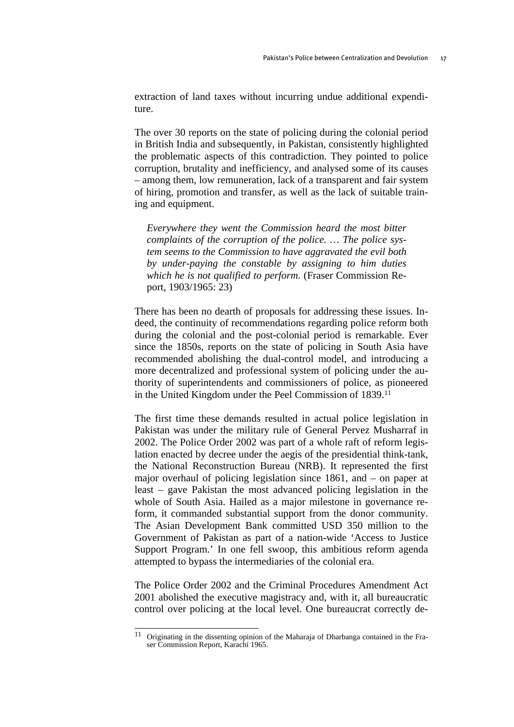extraction of land taxes without incurring undue additional expenditure.

The over 30 reports on the state of policing during the colonial period in British India and subsequently, in Pakistan, consistently highlighted the problematic aspects of this contradiction. They pointed to police corruption, brutality and inefficiency, and analysed some of its causes – among them, low remuneration, lack of a transparent and fair system of hiring, promotion and transfer, as well as the lack of suitable training and equipment.

*Everywhere they went the Commission heard the most bitter complaints of the corruption of the police. … The police system seems to the Commission to have aggravated the evil both by under-paying the constable by assigning to him duties which he is not qualified to perform.* (Fraser Commission Report, 1903/1965: 23)

There has been no dearth of proposals for addressing these issues. Indeed, the continuity of recommendations regarding police reform both during the colonial and the post-colonial period is remarkable. Ever since the 1850s, reports on the state of policing in South Asia have recommended abolishing the dual-control model, and introducing a more decentralized and professional system of policing under the authority of superintendents and commissioners of police, as pioneered in the United Kingdom under the Peel Commission of 1839.11

The first time these demands resulted in actual police legislation in Pakistan was under the military rule of General Pervez Musharraf in 2002. The Police Order 2002 was part of a whole raft of reform legislation enacted by decree under the aegis of the presidential think-tank, the National Reconstruction Bureau (NRB). It represented the first major overhaul of policing legislation since 1861, and – on paper at least – gave Pakistan the most advanced policing legislation in the whole of South Asia. Hailed as a major milestone in governance reform, it commanded substantial support from the donor community. The Asian Development Bank committed USD 350 million to the Government of Pakistan as part of a nation-wide 'Access to Justice Support Program.' In one fell swoop, this ambitious reform agenda attempted to bypass the intermediaries of the colonial era.

The Police Order 2002 and the Criminal Procedures Amendment Act 2001 abolished the executive magistracy and, with it, all bureaucratic control over policing at the local level. One bureaucrat correctly de-

<sup>11</sup> 11 Originating in the dissenting opinion of the Maharaja of Dharbanga contained in the Fraser Commission Report, Karachi 1965.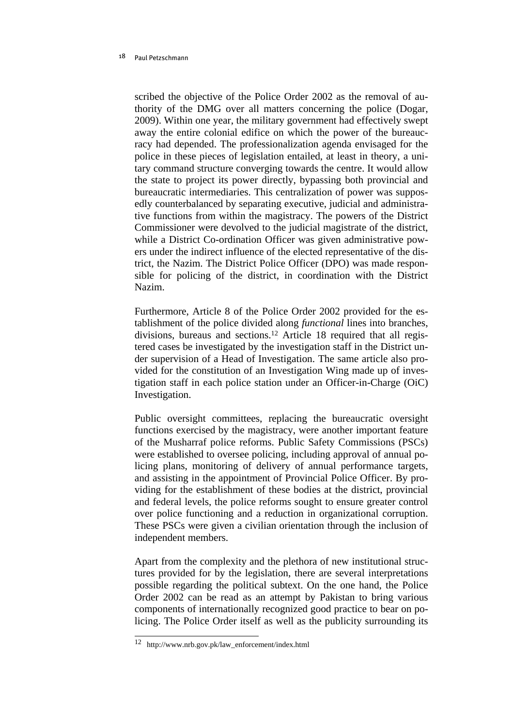scribed the objective of the Police Order 2002 as the removal of authority of the DMG over all matters concerning the police (Dogar, 2009). Within one year, the military government had effectively swept away the entire colonial edifice on which the power of the bureaucracy had depended. The professionalization agenda envisaged for the police in these pieces of legislation entailed, at least in theory, a unitary command structure converging towards the centre. It would allow the state to project its power directly, bypassing both provincial and bureaucratic intermediaries. This centralization of power was supposedly counterbalanced by separating executive, judicial and administrative functions from within the magistracy. The powers of the District Commissioner were devolved to the judicial magistrate of the district, while a District Co-ordination Officer was given administrative powers under the indirect influence of the elected representative of the district, the Nazim. The District Police Officer (DPO) was made responsible for policing of the district, in coordination with the District Nazim.

Furthermore, Article 8 of the Police Order 2002 provided for the establishment of the police divided along *functional* lines into branches, divisions, bureaus and sections.12 Article 18 required that all registered cases be investigated by the investigation staff in the District under supervision of a Head of Investigation. The same article also provided for the constitution of an Investigation Wing made up of investigation staff in each police station under an Officer-in-Charge (OiC) Investigation.

Public oversight committees, replacing the bureaucratic oversight functions exercised by the magistracy, were another important feature of the Musharraf police reforms. Public Safety Commissions (PSCs) were established to oversee policing, including approval of annual policing plans, monitoring of delivery of annual performance targets, and assisting in the appointment of Provincial Police Officer. By providing for the establishment of these bodies at the district, provincial and federal levels, the police reforms sought to ensure greater control over police functioning and a reduction in organizational corruption. These PSCs were given a civilian orientation through the inclusion of independent members.

Apart from the complexity and the plethora of new institutional structures provided for by the legislation, there are several interpretations possible regarding the political subtext. On the one hand, the Police Order 2002 can be read as an attempt by Pakistan to bring various components of internationally recognized good practice to bear on policing. The Police Order itself as well as the publicity surrounding its

 12 http://www.nrb.gov.pk/law\_enforcement/index.html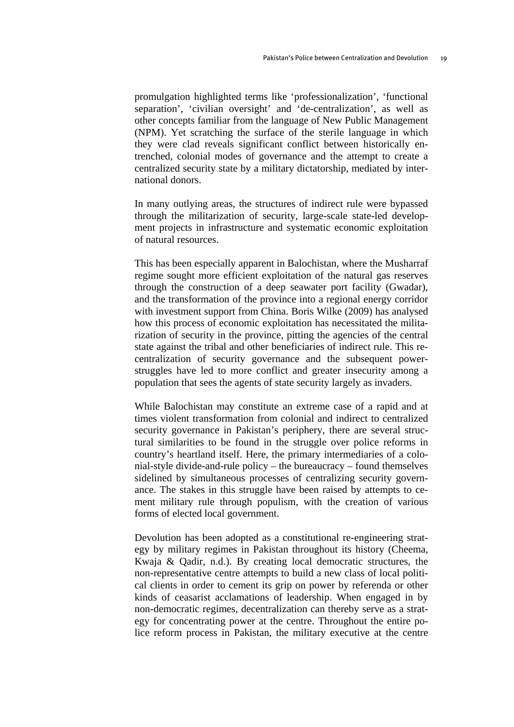promulgation highlighted terms like 'professionalization', 'functional separation', 'civilian oversight' and 'de-centralization', as well as other concepts familiar from the language of New Public Management (NPM). Yet scratching the surface of the sterile language in which they were clad reveals significant conflict between historically entrenched, colonial modes of governance and the attempt to create a centralized security state by a military dictatorship, mediated by international donors.

In many outlying areas, the structures of indirect rule were bypassed through the militarization of security, large-scale state-led development projects in infrastructure and systematic economic exploitation of natural resources.

This has been especially apparent in Balochistan, where the Musharraf regime sought more efficient exploitation of the natural gas reserves through the construction of a deep seawater port facility (Gwadar), and the transformation of the province into a regional energy corridor with investment support from China. Boris Wilke (2009) has analysed how this process of economic exploitation has necessitated the militarization of security in the province, pitting the agencies of the central state against the tribal and other beneficiaries of indirect rule. This recentralization of security governance and the subsequent powerstruggles have led to more conflict and greater insecurity among a population that sees the agents of state security largely as invaders.

While Balochistan may constitute an extreme case of a rapid and at times violent transformation from colonial and indirect to centralized security governance in Pakistan's periphery, there are several structural similarities to be found in the struggle over police reforms in country's heartland itself. Here, the primary intermediaries of a colonial-style divide-and-rule policy – the bureaucracy – found themselves sidelined by simultaneous processes of centralizing security governance. The stakes in this struggle have been raised by attempts to cement military rule through populism, with the creation of various forms of elected local government.

Devolution has been adopted as a constitutional re-engineering strategy by military regimes in Pakistan throughout its history (Cheema, Kwaja & Qadir, n.d.). By creating local democratic structures, the non-representative centre attempts to build a new class of local political clients in order to cement its grip on power by referenda or other kinds of ceasarist acclamations of leadership. When engaged in by non-democratic regimes, decentralization can thereby serve as a strategy for concentrating power at the centre. Throughout the entire police reform process in Pakistan, the military executive at the centre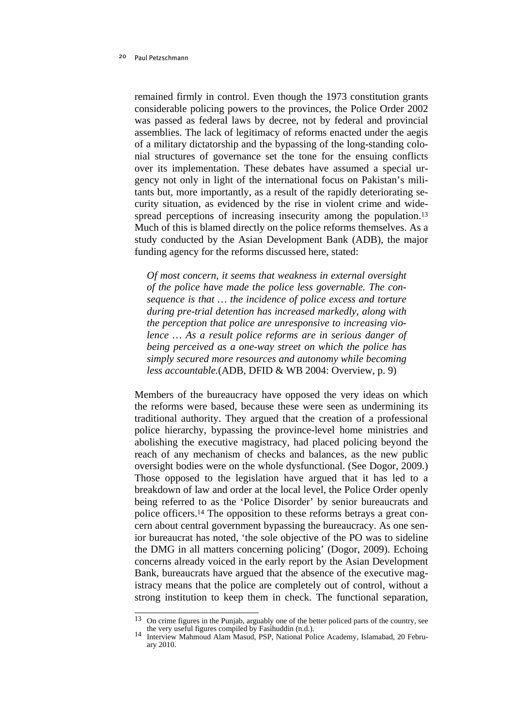remained firmly in control. Even though the 1973 constitution grants considerable policing powers to the provinces, the Police Order 2002 was passed as federal laws by decree, not by federal and provincial assemblies. The lack of legitimacy of reforms enacted under the aegis of a military dictatorship and the bypassing of the long-standing colonial structures of governance set the tone for the ensuing conflicts over its implementation. These debates have assumed a special urgency not only in light of the international focus on Pakistan's militants but, more importantly, as a result of the rapidly deteriorating security situation, as evidenced by the rise in violent crime and widespread perceptions of increasing insecurity among the population.<sup>13</sup> Much of this is blamed directly on the police reforms themselves. As a study conducted by the Asian Development Bank (ADB), the major funding agency for the reforms discussed here, stated:

*Of most concern, it seems that weakness in external oversight of the police have made the police less governable. The consequence is that … the incidence of police excess and torture during pre-trial detention has increased markedly, along with the perception that police are unresponsive to increasing violence … As a result police reforms are in serious danger of being perceived as a one-way street on which the police has simply secured more resources and autonomy while becoming less accountable.*(ADB, DFID & WB 2004: Overview, p. 9)

Members of the bureaucracy have opposed the very ideas on which the reforms were based, because these were seen as undermining its traditional authority. They argued that the creation of a professional police hierarchy, bypassing the province-level home ministries and abolishing the executive magistracy, had placed policing beyond the reach of any mechanism of checks and balances, as the new public oversight bodies were on the whole dysfunctional. (See Dogor, 2009.) Those opposed to the legislation have argued that it has led to a breakdown of law and order at the local level, the Police Order openly being referred to as the 'Police Disorder' by senior bureaucrats and police officers.14 The opposition to these reforms betrays a great concern about central government bypassing the bureaucracy. As one senior bureaucrat has noted, 'the sole objective of the PO was to sideline the DMG in all matters concerning policing' (Dogor, 2009). Echoing concerns already voiced in the early report by the Asian Development Bank, bureaucrats have argued that the absence of the executive magistracy means that the police are completely out of control, without a strong institution to keep them in check. The functional separation,

 On crime figures in the Punjab, arguably one of the better policed parts of the country, see the very useful figures compiled by Fasihuddin (n.d.).

the very useful figures compiled by Fasihuddin (n.d.). 14 Interview Mahmoud Alam Masud, PSP, National Police Academy, Islamabad, 20 February 2010.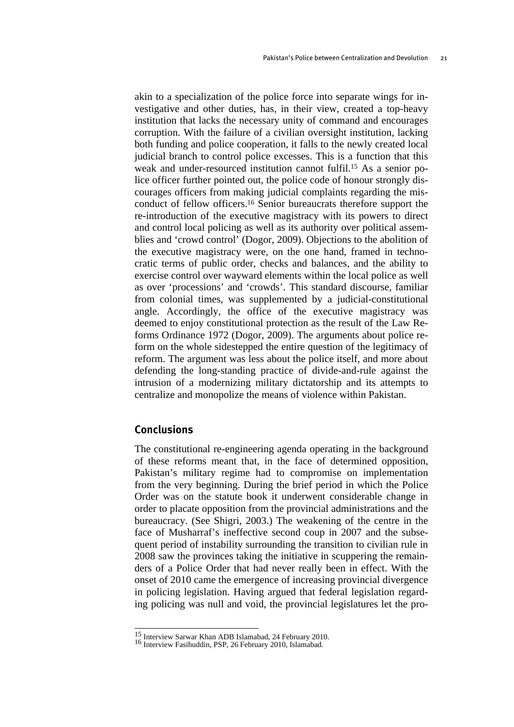akin to a specialization of the police force into separate wings for investigative and other duties, has, in their view, created a top-heavy institution that lacks the necessary unity of command and encourages corruption. With the failure of a civilian oversight institution, lacking both funding and police cooperation, it falls to the newly created local judicial branch to control police excesses. This is a function that this weak and under-resourced institution cannot fulfil.15 As a senior police officer further pointed out, the police code of honour strongly discourages officers from making judicial complaints regarding the misconduct of fellow officers.16 Senior bureaucrats therefore support the re-introduction of the executive magistracy with its powers to direct and control local policing as well as its authority over political assemblies and 'crowd control' (Dogor, 2009). Objections to the abolition of the executive magistracy were, on the one hand, framed in technocratic terms of public order, checks and balances, and the ability to exercise control over wayward elements within the local police as well as over 'processions' and 'crowds'. This standard discourse, familiar from colonial times, was supplemented by a judicial-constitutional angle. Accordingly, the office of the executive magistracy was deemed to enjoy constitutional protection as the result of the Law Reforms Ordinance 1972 (Dogor, 2009). The arguments about police reform on the whole sidestepped the entire question of the legitimacy of reform. The argument was less about the police itself, and more about defending the long-standing practice of divide-and-rule against the intrusion of a modernizing military dictatorship and its attempts to centralize and monopolize the means of violence within Pakistan.

# **Conclusions**

The constitutional re-engineering agenda operating in the background of these reforms meant that, in the face of determined opposition, Pakistan's military regime had to compromise on implementation from the very beginning. During the brief period in which the Police Order was on the statute book it underwent considerable change in order to placate opposition from the provincial administrations and the bureaucracy. (See Shigri, 2003.) The weakening of the centre in the face of Musharraf's ineffective second coup in 2007 and the subsequent period of instability surrounding the transition to civilian rule in 2008 saw the provinces taking the initiative in scuppering the remainders of a Police Order that had never really been in effect. With the onset of 2010 came the emergence of increasing provincial divergence in policing legislation. Having argued that federal legislation regarding policing was null and void, the provincial legislatures let the pro-

 15 Interview Sarwar Khan ADB Islamabad, 24 February 2010. 16 Interview Fasihuddin, PSP, 26 February 2010, Islamabad.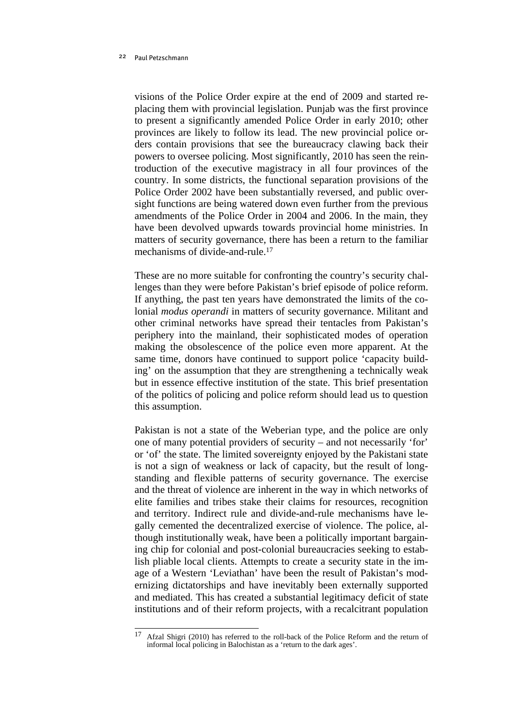visions of the Police Order expire at the end of 2009 and started replacing them with provincial legislation. Punjab was the first province to present a significantly amended Police Order in early 2010; other provinces are likely to follow its lead. The new provincial police orders contain provisions that see the bureaucracy clawing back their powers to oversee policing. Most significantly, 2010 has seen the reintroduction of the executive magistracy in all four provinces of the country. In some districts, the functional separation provisions of the Police Order 2002 have been substantially reversed, and public oversight functions are being watered down even further from the previous amendments of the Police Order in 2004 and 2006. In the main, they have been devolved upwards towards provincial home ministries. In matters of security governance, there has been a return to the familiar mechanisms of divide-and-rule.17

These are no more suitable for confronting the country's security challenges than they were before Pakistan's brief episode of police reform. If anything, the past ten years have demonstrated the limits of the colonial *modus operandi* in matters of security governance. Militant and other criminal networks have spread their tentacles from Pakistan's periphery into the mainland, their sophisticated modes of operation making the obsolescence of the police even more apparent. At the same time, donors have continued to support police 'capacity building' on the assumption that they are strengthening a technically weak but in essence effective institution of the state. This brief presentation of the politics of policing and police reform should lead us to question this assumption.

Pakistan is not a state of the Weberian type, and the police are only one of many potential providers of security – and not necessarily 'for' or 'of' the state. The limited sovereignty enjoyed by the Pakistani state is not a sign of weakness or lack of capacity, but the result of longstanding and flexible patterns of security governance. The exercise and the threat of violence are inherent in the way in which networks of elite families and tribes stake their claims for resources, recognition and territory. Indirect rule and divide-and-rule mechanisms have legally cemented the decentralized exercise of violence. The police, although institutionally weak, have been a politically important bargaining chip for colonial and post-colonial bureaucracies seeking to establish pliable local clients. Attempts to create a security state in the image of a Western 'Leviathan' have been the result of Pakistan's modernizing dictatorships and have inevitably been externally supported and mediated. This has created a substantial legitimacy deficit of state institutions and of their reform projects, with a recalcitrant population

<sup>17</sup> Afzal Shigri (2010) has referred to the roll-back of the Police Reform and the return of informal local policing in Balochistan as a 'return to the dark ages'.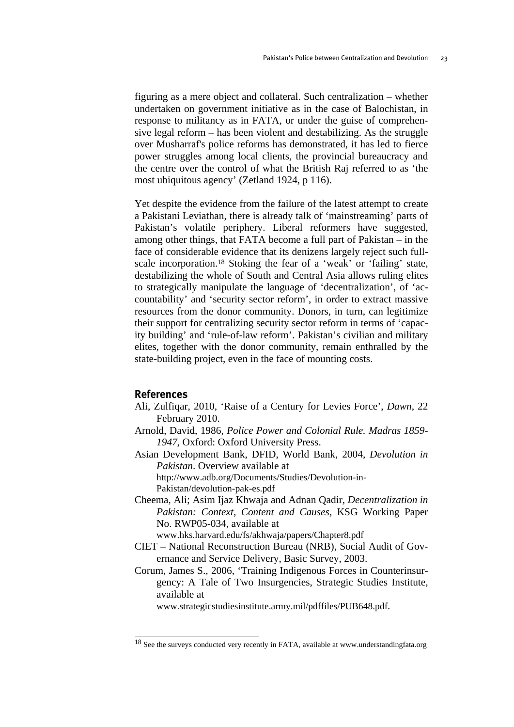figuring as a mere object and collateral. Such centralization – whether undertaken on government initiative as in the case of Balochistan, in response to militancy as in FATA, or under the guise of comprehensive legal reform – has been violent and destabilizing. As the struggle over Musharraf's police reforms has demonstrated, it has led to fierce power struggles among local clients, the provincial bureaucracy and the centre over the control of what the British Raj referred to as 'the most ubiquitous agency' (Zetland 1924, p 116).

Yet despite the evidence from the failure of the latest attempt to create a Pakistani Leviathan, there is already talk of 'mainstreaming' parts of Pakistan's volatile periphery. Liberal reformers have suggested, among other things, that FATA become a full part of Pakistan – in the face of considerable evidence that its denizens largely reject such fullscale incorporation.18 Stoking the fear of a 'weak' or 'failing' state, destabilizing the whole of South and Central Asia allows ruling elites to strategically manipulate the language of 'decentralization', of 'accountability' and 'security sector reform', in order to extract massive resources from the donor community. Donors, in turn, can legitimize their support for centralizing security sector reform in terms of 'capacity building' and 'rule-of-law reform'. Pakistan's civilian and military elites, together with the donor community, remain enthralled by the state-building project, even in the face of mounting costs.

# **References**

- Ali, Zulfiqar, 2010, 'Raise of a Century for Levies Force', *Dawn*, 22 February 2010.
- Arnold, David, 1986, *Police Power and Colonial Rule. Madras 1859- 1947,* Oxford: Oxford University Press.
- Asian Development Bank, DFID, World Bank, 2004, *Devolution in Pakistan*. Overview available at

http://www.adb.org/Documents/Studies/Devolution-in-Pakistan/devolution-pak-es.pdf

Cheema, Ali; Asim Ijaz Khwaja and Adnan Qadir*, Decentralization in Pakistan: Context, Content and Causes,* KSG Working Paper No. RWP05-034, available at

www.hks.harvard.edu/fs/akhwaja/papers/Chapter8.pdf

- CIET National Reconstruction Bureau (NRB), Social Audit of Governance and Service Delivery, Basic Survey, 2003.
- Corum, James S., 2006, 'Training Indigenous Forces in Counterinsurgency: A Tale of Two Insurgencies, Strategic Studies Institute, available at

www.strategicstudiesinstitute.army.mil/pdffiles/PUB648.pdf.

<sup>&</sup>lt;sup>18</sup> See the surveys conducted very recently in FATA, available at www.understandingfata.org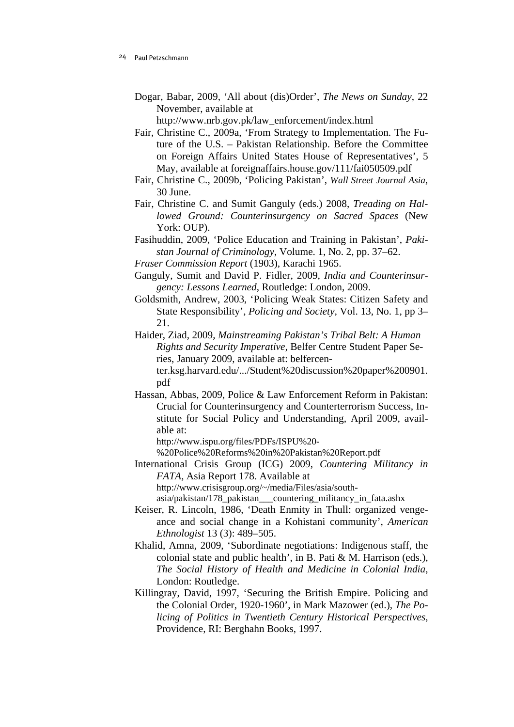Dogar, Babar, 2009, 'All about (dis)Order', *The News on Sunday*, 22 November, available at

http://www.nrb.gov.pk/law\_enforcement/index.html

- Fair, Christine C., 2009a, 'From Strategy to Implementation. The Future of the U.S. – Pakistan Relationship. Before the Committee on Foreign Affairs United States House of Representatives', 5 May, available at foreignaffairs.house.gov/111/fai050509.pdf
- Fair, Christine C., 2009b, 'Policing Pakistan', *Wall Street Journal Asia*, 30 June.
- Fair, Christine C. and Sumit Ganguly (eds.) 2008, *Treading on Hallowed Ground: Counterinsurgency on Sacred Spaces* (New York: OUP).
- Fasihuddin, 2009, 'Police Education and Training in Pakistan', *Pakistan Journal of Criminology*, Volume. 1, No. 2, pp. 37–62.
- *Fraser Commission Report* (1903), Karachi 1965.
- Ganguly, Sumit and David P. Fidler, 2009, *India and Counterinsurgency: Lessons Learned*, Routledge: London, 2009.
- Goldsmith, Andrew, 2003, 'Policing Weak States: Citizen Safety and State Responsibility', *Policing and Society,* Vol. 13, No. 1, pp 3– 21.
- Haider, Ziad, 2009, *Mainstreaming Pakistan's Tribal Belt: A Human Rights and Security Imperative,* Belfer Centre Student Paper Series, January 2009, available at: belfercenter.ksg.harvard.edu/.../Student%20discussion%20paper%200901.
- pdf Hassan, Abbas, 2009, Police & Law Enforcement Reform in Pakistan: Crucial for Counterinsurgency and Counterterrorism Success, Institute for Social Policy and Understanding, April 2009, available at:

http://www.ispu.org/files/PDFs/ISPU%20-

%20Police%20Reforms%20in%20Pakistan%20Report.pdf

International Crisis Group (ICG) 2009, *Countering Militancy in FATA,* Asia Report 178. Available at http://www.crisisgroup.org/~/media/Files/asia/south-

asia/pakistan/178\_pakistan\_\_\_countering\_militancy\_in\_fata.ashx

- Keiser, R. Lincoln, 1986, 'Death Enmity in Thull: organized vengeance and social change in a Kohistani community', *American Ethnologist* 13 (3): 489–505.
- Khalid, Amna, 2009, 'Subordinate negotiations: Indigenous staff, the colonial state and public health', in B. Pati & M. Harrison (eds.), *The Social History of Health and Medicine in Colonial India*, London: Routledge.
- Killingray, David, 1997, 'Securing the British Empire. Policing and the Colonial Order, 1920-1960', in Mark Mazower (ed.), *The Policing of Politics in Twentieth Century Historical Perspectives,* Providence, RI: Berghahn Books, 1997.